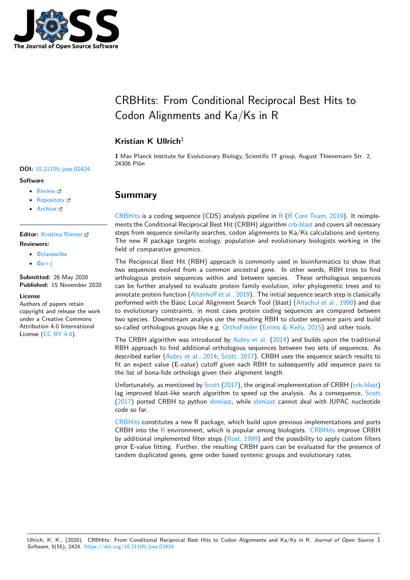

# CRBHits: From Conditional Reciprocal Best Hits to Codon Alignments and Ka/Ks in R

### **Kristian K Ullrich**<sup>1</sup>

**1** Max Planck Institute for Evolutionary Biology, Scientific IT group, August Thienemann Str. 2, 24306 Plön

# **Summary**

CRBHits is a coding sequence (CDS) analysis pipeline in  $R$  ( $R$  Core Team, 2019). It reimplements the Conditional Reciprocal Best Hit (CRBH) algorithm crb-blast and covers all necessary steps from sequence similarity searches, codon alignments to Ka/Ks calculations and synteny. The new R package targets ecology, population and evolutionary biologists working in the [field of c](https://gitlab.gwdg.de/mpievolbio-it/crbhits)omparative genomics.

The Reciprocal Best Hit (RBH) approach is commonly use[d in bioin](https://github.com/cboursnell/crb-blast)formatics to show that two sequences evolved from a common ancestral gene. In other words, RBH tries to find orthologous protein sequences within and between species. These orthologous sequences can be further analysed to evaluate protein family evolution, infer phylogenetic trees and to annotate protein function (Altenhoff et al., 2019). The initial sequence search step is classically performed with the Basic Local Alignment Search Tool (blast) (Altschul et al., 1990) and due to evolutionary constraints, in most cases protein coding sequences are compared between two species. Downstream analysis use the resulting RBH to cluster sequence pairs and build so-called orthologous grou[ps like e.g.](#page-5-0) OrthoFinder (Emms  $\&$  Kelly, 2015) and other tools.

The CRBH algorithm was introduced by  $\Delta$ ubry et al. (2014) a[nd builds upon the t](#page-5-1)raditional RBH approach to find additional orthologous sequences between two sets of sequences. As described earlier (Aubry et al., 2014; Scott, 2017), CRBH uses the sequence search results to fit an expect value (E-value) cutoff [given each R](https://github.com/davidemms/OrthoFinder)B[H to subsequently ad](#page-5-2)d sequence pairs to the list of bona-fide orthologs given their [alignment length.](#page-5-3)

Unfortunately, as mentioned by Scott (2017), the original implementation of CRBH (crb-blast) lag improved blas[t-like search algor](#page-5-3)i[thm to speed](#page-6-0) up the analysis. As a consequence, Scott (2017) ported CRBH to python shmlast, while shmlast cannot deal with IUPAC nucleotide code so far.

CRBHits constitutes a new R p[ackage, whi](#page-6-0)ch build upon previous implementations [and ports](https://github.com/cboursnell/crb-blast) [CRBH](#page-6-0) into the  $R$  environment, which is popular among biologists. CRBHits improve CRBH [by add](#page-6-0)itional implemented filter [steps \(R](https://github.com/camillescott/shmlast)ost, 19[99\) and t](https://github.com/camillescott/shmlast)he possibility to apply custom filters prior E-value fitting. Further, the resulting CRBH pairs can be evaluated for the presence of [tandem d](https://gitlab.gwdg.de/mpievolbio-it/crbhits)uplicated genes, gene order based syntenic groups and evolutionary rates.

### **DOI:** 10.21105/joss.02424

### **Software**

- Review &
- [Repository](https://doi.org/10.21105/joss.02424) &
- Archive

### **Editor:** [Kristina R](https://gitlab.gwdg.de/mpievolbio-it/crbhits)iemer **Revie[wers:](https://doi.org/10.5281/zenodo.4247942)**

- - @clauswilke
	- @[a-r-j](https://twitter.com/KristinaRiemer)

**Submitted:** 26 May 2020 **Published:** [15 No](https://github.com/clauswilke)vember 2020

#### **Licen[se](https://github.com/a-r-j)**

Authors of papers retain copyright and release the work under a Creative Commons Attribution 4.0 International License (CC BY 4.0).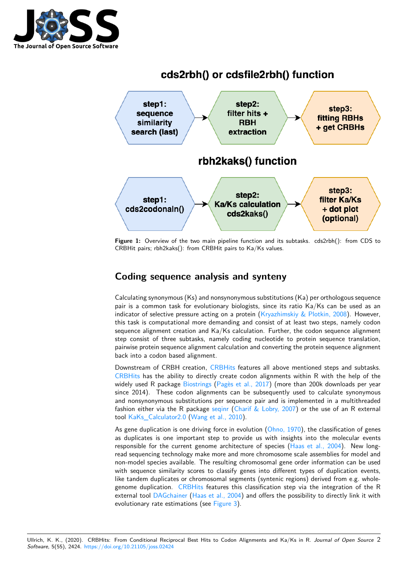

# cds2rbh() or cdsfile2rbh() function



**Figure 1:** Overview of the two main pipeline function and its subtasks. cds2rbh(): from CDS to CRBHit pairs; rbh2kaks(): from CRBHit pairs to Ka/Ks values.

# **Coding sequence analysis and synteny**

Calculating synonymous (Ks) and nonsynonymous substitutions (Ka) per orthologous sequence pair is a common task for evolutionary biologists, since its ratio Ka/Ks can be used as an indicator of selective pressure acting on a protein (Kryazhimskiy  $\&$  Plotkin, 2008). However, this task is computational more demanding and consist of at least two steps, namely codon sequence alignment creation and Ka/Ks calculation. Further, the codon sequence alignment step consist of three subtasks, namely coding nucleotide to protein sequence translation, pairwise protein sequence alignment calculation and [converting the protein sequenc](#page-5-4)e alignment back into a codon based alignment.

Downstream of CRBH creation, CRBHits features all above mentioned steps and subtasks. CRBHits has the ability to directly create codon alignments within R with the help of the widely used R package Biostrings (Pagès et al., 2017) (more than 200k downloads per year since 2014). These codon alignments can be subsequently used to calculate synonymous and nonsynonymous substitution[s per seq](https://gitlab.gwdg.de/mpievolbio-it/crbhits)uence pair and is implemented in a multithreaded [fashion e](https://gitlab.gwdg.de/mpievolbio-it/crbhits)ither via the R package seqinr (Charif & Lobry, 2007) or the use of an R external tool KaKs\_Calculator2.0 [\(Wang e](https://bioconductor.org/packages/release/bioc/html/Biostrings.html)t [al., 2010\).](#page-6-1)

As gene duplication is one driving force in evolution  $(Ohno, 1970)$ , the classification of genes as duplicates is one important step to provide us with insights into the molecular events responsible for the current geno[me arch](https://cran.r-project.org/web/packages/seqinr/index.html)i[tecture of species \(Ha](#page-5-5)as et al., 2004). New longread [sequencing technolo](https://sourceforge.net/projects/kakscalculator2/files/KaKs_Calculator2.0.tar.gz/download)g[y make more and m](#page-6-2)ore chromosome scale assemblies for model and non-model species available. The resulting chromoso[mal gene ord](#page-5-6)er information can be used with sequence similarity scores to classify genes into different types of duplication events, like tandem duplicates or chromosomal segments (syntenic r[egions\) derived fro](#page-5-7)m e.g. wholegenome duplication. CRBHits features this classification step via the integration of the R external tool DAGchainer (Haas et al., 2004) and offers the possibility to directly link it with evolutionary rate estimations (see Figure 3).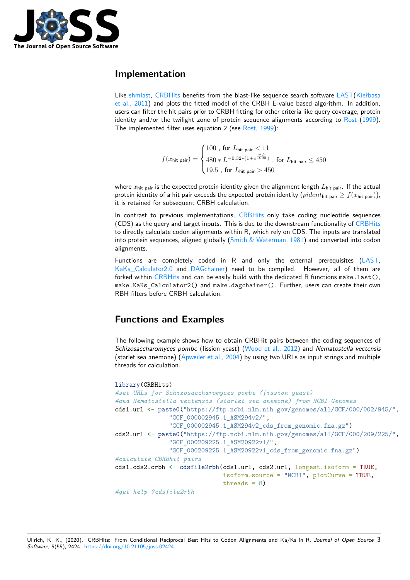

### **Implementation**

Like shmlast, CRBHits benefits from the blast-like sequence search software LAST(Kiełbasa et al., 2011) and plots the fitted model of the CRBH E-value based algorithm. In addition, users can filter the hit pairs prior to CRBH fitting for other criteria like query coverage, protein identity and/or the twilight zone of protein sequence alignments according to Rost  $(1999)$ . The [impleme](https://github.com/camillescott/shmlast)[nted filter](https://gitlab.gwdg.de/mpievolbio-it/crbhits) uses equation 2 (see Rost, 1999):

$$
f(x_{\text{hit pair}}) = \begin{cases} 100 \text{ , for } L_{\text{hit pair}} < 11 \\ 480 * L^{-0.32 * (1 + e^{\frac{-L}{1000}})} \text{ , for } L_{\text{hit pair}} \le 450 \\ 19.5 \text{ , for } L_{\text{hit pair}} > 450 \end{cases}
$$

where  $x_{\text{hit pair}}$  is the expected protein identity given the alignment length  $L_{\text{hit pair}}$ . If the actual protein identity of a hit pair exceeds the expected protein identity  $(\text{pident}_{\text{hit pair}} \ge f(x_{\text{hit pair}}))$ , it is retained for subsequent CRBH calculation.

In contrast to previous implementations, CRBHits only take coding nucleotide sequences (CDS) as the query and target inputs. This is due to the downstream functionality of CRBHits to directly calculate codon alignments within R, which rely on CDS. The inputs are translated into protein sequences, aligned globally (Smith & Waterman, 1981) and converted into codon alignments.

Functions are completely coded in R and only the external prerequisites [\(LAST,](https://gitlab.gwdg.de/mpievolbio-it/crbhits) KaKs Calculator2.0 and DAGchainer) need to be compiled. However, all of them are forked within CRBHits and can be easil[y build with the dedicated](#page-6-4) R functions make.last(), make.KaKs\_Calculator2() and make.dagchainer(). Further, users can create their own RBH filters before CRBH calculation.

# **Function[s and](https://gitlab.gwdg.de/mpievolbio-it/crbhits) Examples**

The following example shows how to obtain CRBHit pairs between the coding sequences of *Schizosaccharomyces pombe* (fission yeast) (Wood et al., 2012) and *Nematostella vectensis* (starlet sea anemone) (Apweiler et al., 2004) by using two URLs as input strings and multiple threads for calculation.

```
library(CRBHits)
#set URLs for Schizosaccharomyces pombe (fission yeast)
#and Nematostella vectensis (starlet sea anemone) from NCBI Genomes
cds1.url <- paste0("https://ftp.ncbi.nlm.nih.gov/genomes/all/GCF/000/002/945/",
               "GCF_000002945.1_ASM294v2/",
               "GCF_000002945.1_ASM294v2_cds_from_genomic.fna.gz")
cds2.url <- paste0("https://ftp.ncbi.nlm.nih.gov/genomes/all/GCF/000/209/225/",
               "GCF_000209225.1_ASM20922v1/",
               "GCF_000209225.1_ASM20922v1_cds_from_genomic.fna.gz")
#calculate CBRBhit pairs
cds1.cds2.crbh <- cdsfile2rbh(cds1.url, cds2.url, longest.isoform = TRUE,
                              isoform.source = "NCBI", plotCurve = TRUE,
                              threads = 8)
#get help ?cdsfile2rbh
```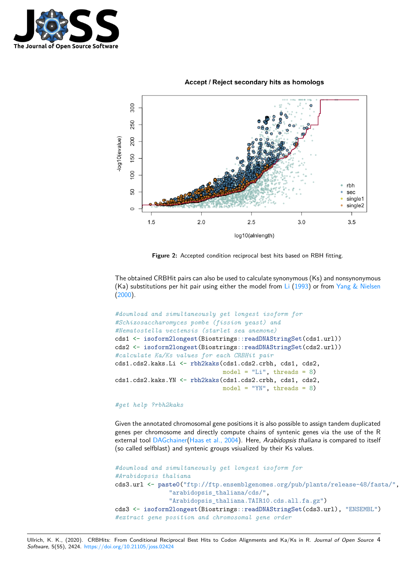

#### Accept / Reject secondary hits as homologs



**Figure 2:** Accepted condition reciprocal best hits based on RBH fitting.

The obtained CRBHit pairs can also be used to calculate synonymous (Ks) and nonsynonymous (Ka) substitutions per hit pair using either the model from Li  $(1993)$  or from Yang & Nielsen (2000).

```
#download and simultaneously get longest isoform for
#Schizosaccharomyces pombe (fission yeast) and
#Nematostella vectensis (starlet sea anemone)
cds1 <- isoform2longest(Biostrings::readDNAStringSet(cds1.url))
cds2 <- isoform2longest(Biostrings::readDNAStringSet(cds2.url))
#calculate Ka/Ks values for each CRBHit pair
cds1.cds2.kaks.Li <- rbh2kaks(cds1.cds2.crbh, cds1, cds2,
                              model = "Li", threads = 8)cds1.cds2.kaks.YN <- rbh2kaks(cds1.cds2.crbh, cds1, cds2,
                              model = "YN", threads = 8)
```
#### *#get help ?rbh2kaks*

Given the annotated chromosomal gene positions it is also possible to assign tandem duplicated genes per chromosome and directly compute chains of syntenic genes via the use of the R external tool DAGchainer(Haas et al., 2004). Here, *Arabidopsis thaliana* is compared to itself (so called selfblast) and syntenic groups vsiualized by their Ks values.

```
#download and simultaneously get longest isoform for
#Arabidopsis thaliana
cds3.url <- paste0("ftp://ftp.ensemblgenomes.org/pub/plants/release-48/fasta/",
               "arabidopsis_thaliana/cds/",
               "Arabidopsis_thaliana.TAIR10.cds.all.fa.gz")
cds3 <- isoform2longest(Biostrings::readDNAStringSet(cds3.url), "ENSEMBL")
#extract gene position and chromosomal gene order
```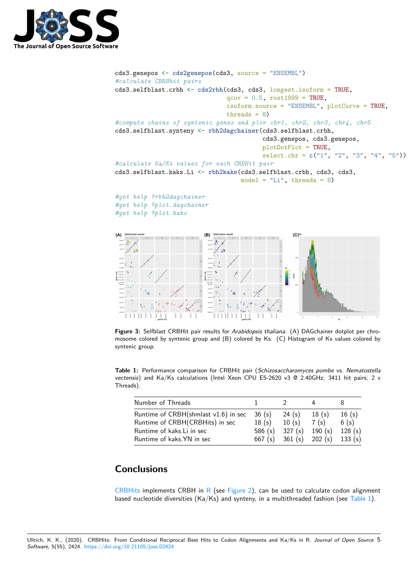

```
cds3.genepos <- cds2genepos(cds3, source = "ENSEMBL")
#calculate CBRBhit pairs
cds3.selfblast.crbh <- cds2rbh(cds3, cds3, longest.isoform = TRUE,
                               qcov = 0.5, rost1999 = TRUE,
                               isoform.source = "ENSEMBL", plotCurve = TRUE,
                               threads = 8)
#compute chains of syntenic genes and plor chr1, chr2, chr3, chr4, chr5
cds3.selfblast.synteny <- rbh2dagchainer(cds3.selfblast.crbh,
                                          cds3.genepos, cds3.genepos,
                                          plotDotPlot = TRUE,
                                          select.chr = c("1", "2", "3", "4", "5"))#calculate Ka/Ks values for each CRBHit pair
cds3.selfblast.kaks.Li <- rbh2kaks(cds3.selfblast.crbh, cds3, cds3,
                                   model = "Li", threads = 8)#get help ?rbh2dagchainer
#get help ?plot.dagchainer
#get help ?plot.kaks
(A)(B)
                                                  (C)_{Ks}ç,
```
<span id="page-4-0"></span>**Figure 3:** Selfblast CRBHit pair results for *Arabidopsis thaliana*. (A) DAGchainer dotplot per chromosome colored by syntenic group and (B) colored by Ks. (C) Histogram of Ks values colored by syntenic group.

**Table 1:** Performance comparison for CRBHit pair (*Schizosaccharomyces pombe* vs. *Nematostella vectensis*) and Ka/Ks calculations (Intel Xeon CPU E5-2620 v3 @ 2.40GHz; 3411 hit pairs; 2 x Threads).

| Number of Threads                      |        |         |                 |        |
|----------------------------------------|--------|---------|-----------------|--------|
| Runtime of $CRBH(shmlast v1.6)$ in sec | 36(s)  | 24 (s)  | 18(s)           | 16(s)  |
| Runtime of CRBH(CRBHits) in sec        | 18(s)  | 10(s)   | 7(s)            | 6(s)   |
| Runtime of kaks. Li in sec             | 586(s) | 327 (s) | 190(s)          | 128(s) |
| Runtime of kaks. YN in sec             | 667(s) |         | 361 (s) 202 (s) | 133(s) |

# **Conclusions**

CRBHits implements CRBH in R (see Figure 2), can be used to calculate codon alignment based nucleotide diversities (Ka/Ks) and synteny, in a multithreaded fashion (see Table 1).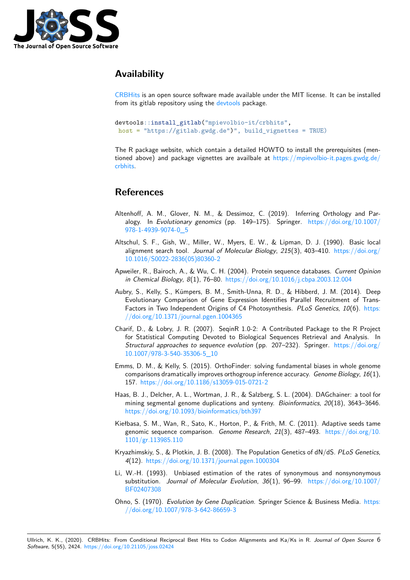

# **Availability**

CRBHits is an open source software made available under the MIT license. It can be installed from its gitlab repository using the devtools package.

```
devtools::install_gitlab("mpievolbio-it/crbhits",
host = "https://gitlab.gwdg.de")", build_vignettes = TRUE)
```
The R package website, which contain a detailed HOWTO to install the prerequisites (mentioned above) and package vignettes are availbale at https://mpievolbio-it.pages.gwdg.de/ crbhits.

# **[Refe](https://mpievolbio-it.pages.gwdg.de/crbhits)rences**

- Altenhoff, A. M., Glover, N. M., & Dessimoz, C. (2019). Inferring Orthology and Paralogy. In *Evolutionary genomics* (pp. 149–175). Springer. https://doi.org/10.1007/ 978-1-4939-9074-0\_5
- <span id="page-5-0"></span>Altschul, S. F., Gish, W., Miller, W., Myers, E. W., & Lipman, D. J. (1990). Basic local alignment search tool. *Journal of Molecular Biology*, *215*(3), 403–410. [https://doi.org/](https://doi.org/10.1007/978-1-4939-9074-0_5) [10.1016/S0022-2836\(0](https://doi.org/10.1007/978-1-4939-9074-0_5)5)80360-2
- Apweiler, R., Bairoch, A., & Wu, C. H. (2004). Protein sequence databases. *Current Opinion in Chemical Biology*, *8*(1), 76–80. https://doi.org/10.1016/j.cbpa.2003.[12.004](https://doi.org/10.1016/S0022-2836(05)80360-2)
- <span id="page-5-1"></span>Au[bry, S., Kelly, S., Kümpers, B. M](https://doi.org/10.1016/S0022-2836(05)80360-2)., Smith-Unna, R. D., & Hibberd, J. M. (2014). Deep Evolutionary Comparison of Gene Expression Identifies Parallel Recruitment of Trans-Factors in Two Independent Origi[ns of C4 Photosynthesis.](https://doi.org/10.1016/j.cbpa.2003.12.004) *PLoS Genetics*, *10*(6). https: //doi.org/10.1371/journal.pgen.1004365
- <span id="page-5-8"></span><span id="page-5-3"></span>Charif, D., & Lobry, J. R. (2007). SeqinR 1.0-2: A Contributed Package to the R Project for Statistical Computing Devoted to Biological Sequences Retrieval and Analysis. In *Structural approaches to sequence evolution* (pp. 207–232). Springer. https://d[oi.org/](https://doi.org/10.1371/journal.pgen.1004365) [10.1007/978-3-540-35306-5\\_10](https://doi.org/10.1371/journal.pgen.1004365)
- <span id="page-5-5"></span>Emms, D. M., & Kelly, S. (2015). OrthoFinder: solving fundamental biases in whole genome comparisons dramatically improves orthogroup inference accuracy. *Genom[e Biology](https://doi.org/10.1007/978-3-540-35306-5_10)*, *16*(1), 157. [https://doi.org/10.1186/s1](https://doi.org/10.1007/978-3-540-35306-5_10)3059-015-0721-2
- <span id="page-5-2"></span>Haas, B. J., Delcher, A. L., Wortman, J. R., & Salzberg, S. L. (2004). DAGchainer: a tool for mining segmental genome duplications and synteny. *Bioinformatics*, *20*(18), 3643–3646. https[://doi.org/10.1093/bioinformatics/bth397](https://doi.org/10.1186/s13059-015-0721-2)
- <span id="page-5-7"></span>Kiełbasa, S. M., Wan, R., Sato, K., Horton, P., & Frith, M. C. (2011). Adaptive seeds tame genomic sequence comparison. *Genome Research*, *21*(3), 487–493. https://doi.org/10. [1101/gr.113985.110](https://doi.org/10.1093/bioinformatics/bth397)
- Kryazhimskiy, S., & Plotkin, J. B. (2008). The Population Genetics of dN/dS. *PLoS Genetics*, *4*(12). https://doi.org/10.1371/journal.pgen.1000304
- Li, [W.-H. \(1993\). Unb](https://doi.org/10.1101/gr.113985.110)iased estimation of the rates of synonymous [and nonsynonymous](https://doi.org/10.1101/gr.113985.110) substitution. *Journal of Molecular Evolution*, *36*(1), 96–99. https://doi.org/10.1007/ BF02407308
- <span id="page-5-9"></span><span id="page-5-6"></span><span id="page-5-4"></span>Ohno, S. (1970). *[Evolution by Gene Duplication](https://doi.org/10.1371/journal.pgen.1000304)*. Springer Science & Business Media. https: //doi.org/10.1007/978-3-642-86659-3